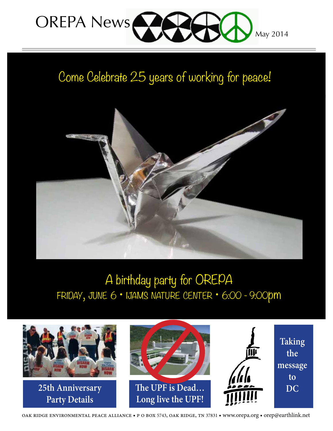

## Come Celebrate 25 years of working for peace!



## A birthday party for OREPA friday, june 6 • ijams nature center • 6:00 - 9:00pm



oak ridge environmental peace alliance • p o box 5743, oak ridge, tn 37831 • www.orepa.org • orep@earthlink.net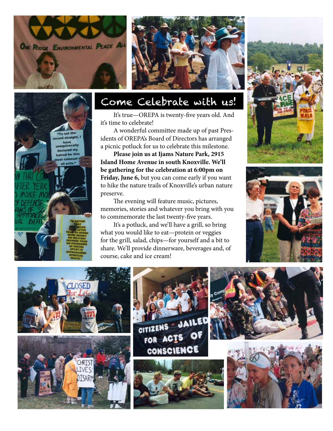



## Come Celebrate with us!

It's true—OREPA is twenty-five years old. And it's time to celebrate!

A wonderful committee made up of past Presidents of OREPA's Board of Directors has arranged a picnic potluck for us to celebrate this milestone.

**Please join us at Ijams Nature Park, 2915 Island Home Avenue in south Knoxville. We'll be gathering for the celebration at 6:00pm on Friday, June 6,** but you can come early if you want to hike the nature trails of Knoxville's urban nature preserve.

The evening will feature music, pictures, memories, stories and whatever you bring with you to commemorate the last twenty-five years.

It's a potluck, and we'll have a grill, so bring what you would like to eat—protein or veggies for the grill, salad, chips—for yourself and a bit to share. We'll provide dinnerware, beverages and, of course, cake and ice cream!





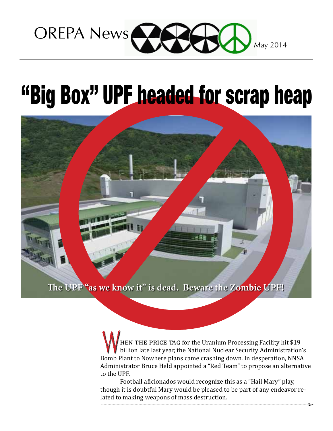

# "Big Box" UPF headed for scrap heap



 hen the price tag for the Uranium Processing Facility hit \$19 billion late last year, the National Nuclear Security Administration's WHEN THE PRICE TAG for the Uranium Processing Facility hit \$19<br>billion late last year, the National Nuclear Security Administration's<br>Bomb Plant to Nowhere plans came crashing down. In desperation, NNSA Administrator Bruce Held appointed a "Red Team" to propose an alternative to the UPF.

Football aficionados would recognize this as a "Hail Mary" play, though it is doubtful Mary would be pleased to be part of any endeavor related to making weapons of mass destruction.

➢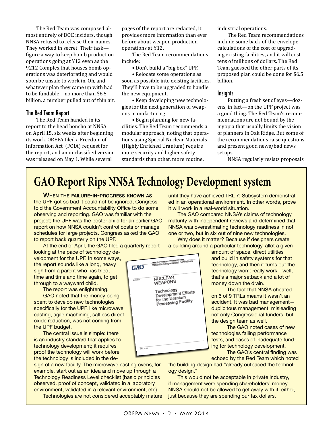The Red Team was composed almost entirely of DOE insiders, though NNSA refused to release their names. They worked in secret. Their task figure a way to keep bomb production operations going at Y12 even as the 9212 Complex that houses bomb operations was deteriorating and would soon be unsafe to work in. Oh, and whatever plan they came up with had to be fundable—no more than \$6.5 billion, a number pulled out of thin air.

#### The Red Team Report

The Red Team handed in its report to the head honcho at NNSA on April 15, six weeks after beginning its work. OREPA filed a Freedom of Information Act (FOIA) request for the report, and an unclassified version was released on May 1. While several

pages of the report are redacted, it provides more information than ever before about weapon production operations at Y12.

The Red Team recommendations include:

• Don't build a "big box" UPF.

• Relocate some operations as soon as possible into existing facilities. They'll have to be upgraded to handle the new equipment.

• Keep developing new technologies for the next generation of weapons manufacturing.

• Begin planning for new facilities. The Red Team recommends a modular approach, noting that operations using Special Nuclear Materials (Highly Enriched Uranium) require more security and higher safety standards than other, more routine,

industrial operations.

The Red Team recommendations include some back-of-the-envelope calculations of the cost of upgrading existing facilities, and it will cost tens of millions of dollars. The Red Team guessed the other parts of its proposed plan could be done for \$6.5 billion.

#### **Insights**

Putting a fresh set of eyes—dozens, in fact—on the UPF project was a good thing. The Red Team's recommendations are not bound by the myopia that usually limits the vision of planners in Oak Ridge. But some of the recommendations raise questions and present good news/bad news setups.

NNSA regularly resists proposals

## **GAO Report Rips NNSA Technology Development system**

WHEN THE FAILURE-IN-PROGRESS KNOWN AS the UPF got so bad it could not be ignored, Congress told the Government Accountability Office to do some observing and reporting. GAO was familiar with the project; the UPF was the poster child for an earlier GAO report on how NNSA couldn't control costs or manage schedules for large projects. Congress asked the GAO to report back quarterly on the UPF.

At the end of April, the GAO filed a quarterly report looking at the pace of technology development for the UPF. In some ways, the report sounds like a long, heavy

sigh from a parent who has tried, time and time and time again, to get through to a wayward child.

The report was enlightening.

GAO noted that the money being spent to develop new technologies specifically for the UPF, like microwave casting, agile machining, saltless direct oxide reduction, was not coming from the UPF budget.

The central issue is simple: there is an industry standard that applies to technology development; it requires proof the technology will work before the technology is included in the de-

sign of a new facility. The microwave casting ovens, for example, start out as an idea and move up through a Technology Readiness Level checklist (basic principles observed, proof of concept, validated in a laboratory environment, validated in a relevant environment, etc).

Technologies are not considered acceptably mature

were then consume to consider one GAO NUCLEAR  $\frac{1}{2}$  and  $\frac{1}{2}$ WEAPONS Technology<br>Development Efforts for the Uranium for the Uranium<br>Processing Facility

until they have achieved TRL 7: Subsystem demonstrated in an operational environment. In other words, prove it will work in a real-world situation.

The GAO compared NNSA's claims of technology maturity with independent reviews and determined that NNSA was overestimating technology readiness in not one or two, but in six out of nine new technologies.

Why does it matter? Because if designers create a building around a particular technology, allot a given

> amount of space, direct utilities and build in safety systems for that technology, and then it turns out the technology won't really work—well, that's a major setback and a lot of money down the drain.

> The fact that NNSA cheated on 6 of 9 TRLs means it wasn't an accident. It was bad management duplicitous management, misleading not only Congressional funders, but the design team as well.

> The GAO noted cases of new technologies failing performance tests, and cases of inadequate funding for technology development.

The GAO's central finding was echoed by the Red Team which noted

the building design had "already outpaced the technology design."

This would not be acceptable in private industry, if management were spending shareholders' money. NNSA should not be allowed to get away with it, either, just because they are spending our tax dollars.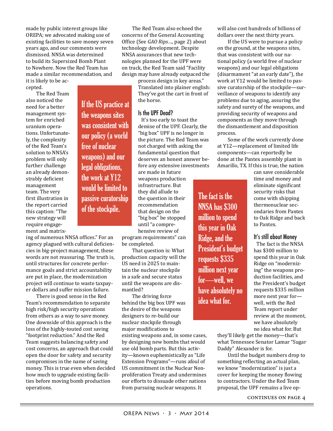made by public interest groups like OREPA; we advocated making use of existing facilities to save money seven years ago, and our comments were dismissed. NNSA was determined to build its Supersized Bomb Plant to Nowhere. Now the Red Team has made a similar recommendation, and it is likely to be ac-

cepted.

The Red Team also noticed the need for a better management system for enriched uranium operations. Unfortunately, the complexity of the Red Team's solution to NNSA's problem will only further challenge an already demonstrably deficient management team. The very first illustration in the report carried this caption: "The new strategy will require engagement and matrix-

If the US practice at the weapons sites was consistent with our policy (a world free of nuclear weapons) and our legal obligations, the work at Y12 would be limited to passive curatorship of the stockpile.

ing of numerous NNSA offices." For an agency plagued with cultural deficiencies in big-project management, these words are not reassuring. The truth is, until structures for concrete performance goals and strict accountability are put in place, the modernization project will continue to waste taxpayer dollars and suffer mission failure.

There is good sense in the Red Team's recommendation to separate high risk/high security operations from others as a way to save money. One downside of this approach is the loss of the highly-touted cost saving "footprint reduction." And the Red Team suggests balancing safety and cost concerns, an approach that could open the door for safety and security compromises in the name of saving money. This is true even when decided how much to upgrade existing facilities before moving bomb production operations.

The Red Team also echoed the concerns of the General Accounting Office (See *GAO Rips*…, page 2) about technology development. Despite NNSA assurances that new technologies planned for the UPF were on track, the Red Team said "Facility design may have already outpaced the

> process design in key areas." Translated into plainer english: They've got the cart in front of the horse.

#### Is the UPF Dead?

It's too early to toast the demise of the UPF. Clearly, the "big box" UPF is no longer in the picture. The Red Team was not charged with asking the fundamental question that deserves an honest answer before any extensive investments

are made in future weapons production infrastructure. But they did allude to the question in their recommendation that design on the "big box" be stopped until "a comprehensive review of

program requirements" can be completed.

That question is: What production capacity will the US need in 2025 to maintain the nuclear stockpile in a safe and secure status until the weapons are dismantled?

The driving force behind the big box UPF was the desire of the weapons designers to re-build our nuclear stockpile through major modifications to

existing weapons and, in some cases, by designing new bombs that would use old bomb parts. But this activity—known euphemistically as "Life Extension Programs"—runs afoul of US commitment in the Nuclear Nonproliferation Treaty and undermines our efforts to dissuade other nations from pursuing nuclear weapons. It

will also cost hundreds of billions of dollars over the next thirty years.

If the US were to pursue a policy on the ground, at the weapons sites, that was consistent with our national policy (a world free of nuclear weapons) and our legal obligations (disarmament "at an early date"), the work at Y12 would be limited to passive curatorship of the stockpile—surveillance of weapons to identify any problems due to aging, assuring the safety and surety of the weapons, and providing security of weapons and components as they move through the dismantlement and disposition process.

Some of the work currently done at Y12—replacement of limited life components—can reportedly be done at the Pantex assembly plant in Amarillo, TX. If this is true, the nation

The fact is the NNSA has \$300 million to spend this year in Oak Ridge, and the President's budget requests \$335 million next year for—well, we have absolutely no idea what for.

can save considerable time and money and eliminate significant security risks that come with shipping thermonuclear secondaries from Pantex to Oak Ridge and back to Pantex.

#### It's still about Money

The fact is the NNSA has \$300 million to spend this year in Oak Ridge on "modernizing" the weapons production facilities, and the President's budget requests \$335 million more next year for well, with the Red Team report under review at the moment, we have absolutely no idea what for. But

they'll likely get the money—that's what Tennessee Senator Lamar "Sugar Daddy" Alexander is for.

Until the budget numbers drop to something reflecting an actual plan, we know "modernization" is just a cover for keeping the money flowing to contractors. Under the Red Team proposal, the UPF remains a live op-

continues on page 4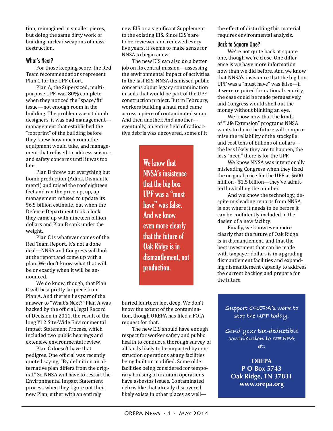tion, reimagined in smaller pieces, but doing the same dirty work of building nuclear weapons of mass destruction.

#### What's Next?

For those keeping score, the Red Team recommendations represent Plan C for the UPF effort.

Plan A, the Supersized, multipurpose UPF, was 80% complete when they noticed the "space/fit" issue—not enough room in the building. The problem wasn't dumb designers, it was bad management management that established the "footprint" of the building before they knew how much room the equipment would take, and management that refused to address seismic and safety concerns until it was too late.

Plan B threw out everything but bomb production (Adios, Dismantlement!) and raised the roof eighteen feet and ran the price up, up, up management refused to update its \$6.5 billion estimate, but when the Defense Department took a look they came up with nineteen billion dollars and Plan B sank under the weight.

Plan C is whatever comes of the Red Team Report. It's not a done deal—NNSA and Congress will look at the report and come up with a plan. We don't know what that will be or exactly when it will be announced.

We do know, though, that Plan C will be a pretty far piece from Plan A. And therein lies part of the answer to "What's Next?" Plan A was backed by the official, legal Record of Decision in 2011, the result of the long Y12 Site-Wide Environmental Impact Statement Process, which included two public hearings and extensive environmental review.

Plan C doesn't have that pedigree. One official was recently quoted saying, "By definition an alternative plan differs from the original." So NNSA will have to restart the Environmental Impact Statement process when they figure out their new Plan, either with an entirely

new EIS or a significant Supplement to the existing EIS. Since EIS's are to be reviewed and renewed every five years, it seems to make sense for NNSA to begin anew.

The new EIS can also do a better job on its central mission—assessing the environmental impact of activities. In the last EIS, NNSA dismissed public concerns about legacy contamination in soils that would be part of the UPF construction project. But in February, workers building a haul road came across a piece of contaminated scrap. And then another. And another eventually, an entire field of radioactive debris was uncovered, some of it

> We know that NNSA's insistence that the big box UPF was a "must have" was false. And we know even more clearly that the future of Oak Ridge is in dismantlement, not production.

buried fourteen feet deep. We don't know the extent of the contamination, though OREPA has filed a FOIA request for that.

The new EIS should have enough respect for worker safety and public health to conduct a thorough survey of all lands likely to be impacted by construction operations at any facilities being built or modified. Some older facilities being considered for temporary housing of uranium operations have asbestos issues. Contaminated debris like that already discovered likely exists in other places as wellthe effect of disturbing this material requires environmental analysis.

#### Back to Square One?

We're not quite back at square one, though we're close. One difference is we have more information now than we did before. And we know that NNSA's insistence that the big box UPF was a "must have" was false—if it were required for national security, the case could be made persuasively and Congress would shell out the money without blinking an eye.

We know now that the kinds of "Life Extension" programs NNSA wants to do in the future will compromise the reliability of the stockpile and cost tens of billions of dollars the less likely they are to happen, the less "need" there is for the UPF.

We know NNSA was intentionally misleading Congress when they fixed the original price for the UPF at \$600 million - \$1.5 billion—they've admitted lowballing the number.

And we know the technology, despite misleading reports from NNSA, is not where it needs to be before it can be confidently included in the design of a new facility.

Finally, we know even more clearly that the future of Oak Ridge is in dismantlement, and that the best investment that can be made with taxpayer dollars is in upgrading dismantlement facilities and expanding dismantlement capacity to address the current backlog and prepare for the future.

**Support OREPA's work to stop the UPF today.** 

**Send your tax-deductible contribution to OREPA at:**

**OREPA P O Box 5743 Oak Ridge, TN 37831 www.orepa.org**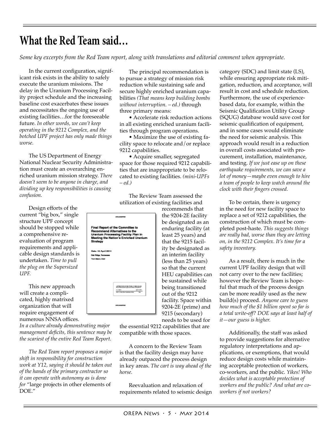## **What the Red Team said…**

*Some key excerpts from the Red Team report, along with translations and editorial comment when appropriate.*

 In the current configuration, significant risk exists in the ability to safely execute the uranium missions. The delay in the Uranium Processing Facility project schedule and the increasing baseline cost exacerbates these issues and necessitates the ongoing use of existing facilities…for the foreseeable future. *In other words, we can't keep operating in the 9212 Complex, and the botched UPF project has only made things worse.*

The US Department of Energy National Nuclear Security Administration must create an overarching enriched uranium mission strategy. *There doesn't seem to be anyone in charge, and dividing up key responsibilities is causing confusion.*

 Design efforts of the current "big box," single structure UPF concept should be stopped while a comprehensive reevaluation of program requirements and applicable design standards is undertaken. *Time to pull the plug on the Supersized UPF.*

This new approach will create a complicated, highly matrixed organization that will require engagement of numerous NNSA offices.

*In a culture already demonstrating major management deficits, this sentence may be the scariest of the entire Red Team Report.*

*The Red Team report proposes a major shift in responsibility for construction work at Y12, saying it should be taken out of the hands of the primary contractor so it can operate with autonomy as is done for* "large projects in other elements of DOE."

The principal recommendation is to pursue a strategy of mission risk reduction while sustaining safe and secure highly enriched uranium capabilities *(That means keep building bombs without interruption. – ed.)* through three primary means:

 • Accelerate risk reduction actions in all existing enriched uranium facilities through program operations.

 • Maximize the use of existing facility space to relocate and/or replace 9212 capabilities.

 • Acquire smaller, segregated space for those required 9212 capabilities that are inappropriate to be relocated to existing facilities. *(mini-UPFs – ed.)*

The Review Team assessed the utilization of existing facilities and



recommends that the 9204-2E facility be designated as an enduring facility (at least 25 years) and that the 9215 facility be designated as an interim facility (less than 25 years) so that the current HEU capabilities can be sustained while being transitioned out of the 9212 facility. Space within 9204-2E (prime) and 9215 (secondary) needs to be used for

the essential 9212 capabilities that are compatible with those spaces.

 A concern to the Review Team is that the facility design may have already outpaced the process design in key areas. *The cart is way ahead of the horse.*

Reevaluation and relaxation of requirements related to seismic design category (SDC) and limit state (LS), while ensuring appropriate risk mitigation, reduction, and acceptance, will result in cost and schedule reduction. Furthermore, the use of experiencebased data, for example, within the Seismic Qualification Utility Group (SQUG) database would save cost for seismic qualification of equipment, and in some cases would eliminate the need for seismic analysis. This approach would result in a reduction in overall costs associated with procurement, installation, maintenance, and testing. *If we just ease up on these earthquake requirements, we can save a lot of money—maybe even enough to hire a team of people to keep watch around the clock with their fingers crossed.*

 To be certain, there is urgency in the need for new facility space to replace a set of 9212 capabilities, the construction of which must be completed post-haste. *This suggests things are really bad, worse than they are letting on, in the 9212 Complex. It's time for a safety inventory.*

 As a result, there is much in the current UPF facility design that will not carry over to the new facilities; however the Review Team is hopeful that much of the process design can be more readily used as the new build(s) proceed. *Anyone care to guess how much of the \$1 billion spent so far is a total write-off? DOE says at least half of it—our guess is higher.*

 Additionally, the staff was asked to provide suggestions for alternative regulatory interpretations and applications, or exemptions, that would reduce design costs while maintaining acceptable protection of workers, co-workers, and the public. *Yikes! Who decides what is acceptable protection of workers and the public? And what are coworkers if not workers?*